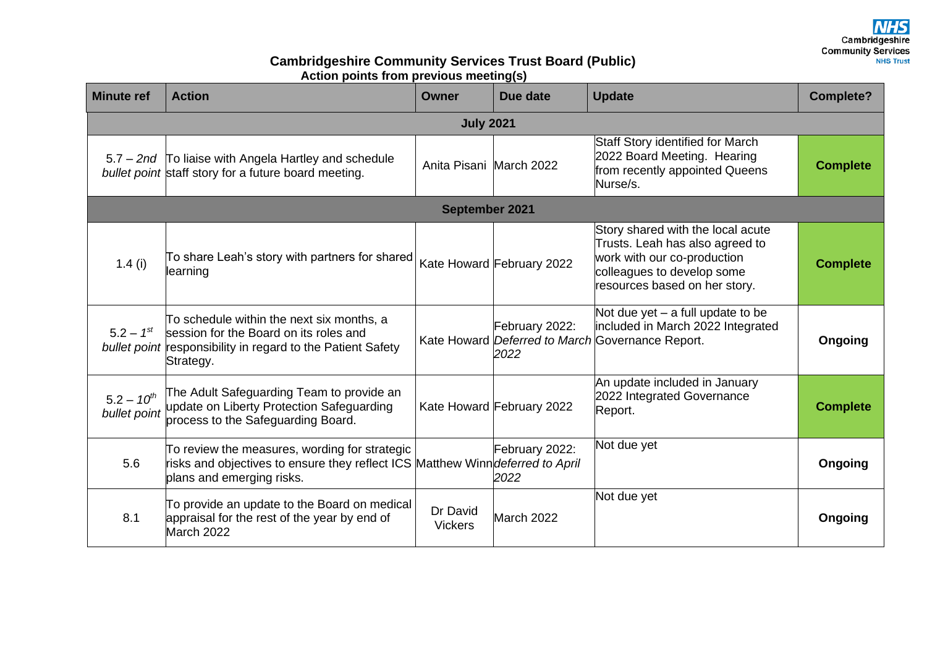Cambridgeshire **Community Services NHS Trust** 

## **Cambridgeshire Community Services Trust Board (Public) Action points from previous meeting(s)**

| <b>Minute ref</b>               | <b>Action</b>                                                                                                                                                       | <b>Owner</b>               | Due date                  | <b>Update</b>                                                                                                                                                      | <b>Complete?</b> |  |  |  |
|---------------------------------|---------------------------------------------------------------------------------------------------------------------------------------------------------------------|----------------------------|---------------------------|--------------------------------------------------------------------------------------------------------------------------------------------------------------------|------------------|--|--|--|
| <b>July 2021</b>                |                                                                                                                                                                     |                            |                           |                                                                                                                                                                    |                  |  |  |  |
|                                 | 5.7 – 2nd To liaise with Angela Hartley and schedule<br>bullet point staff story for a future board meeting.                                                        | Anita Pisani March 2022    |                           | Staff Story identified for March<br>2022 Board Meeting. Hearing<br>from recently appointed Queens<br>Nurse/s.                                                      | <b>Complete</b>  |  |  |  |
| September 2021                  |                                                                                                                                                                     |                            |                           |                                                                                                                                                                    |                  |  |  |  |
| 1.4 $(i)$                       | To share Leah's story with partners for shared<br>learning                                                                                                          |                            | Kate Howard February 2022 | Story shared with the local acute<br>Trusts. Leah has also agreed to<br>work with our co-production<br>colleagues to develop some<br>resources based on her story. | <b>Complete</b>  |  |  |  |
| $5.2 - 1^{st}$                  | To schedule within the next six months, a<br>session for the Board on its roles and<br>bullet point responsibility in regard to the Patient Safety<br>Strategy.     |                            | February 2022:<br>2022    | Not due yet $-$ a full update to be<br>included in March 2022 Integrated<br>Kate Howard Deferred to March Governance Report.                                       | Ongoing          |  |  |  |
| $5.2 - 10^{th}$<br>bullet point | The Adult Safeguarding Team to provide an<br>update on Liberty Protection Safeguarding<br>process to the Safeguarding Board.                                        |                            | Kate Howard February 2022 | An update included in January<br>2022 Integrated Governance<br>Report.                                                                                             | <b>Complete</b>  |  |  |  |
| 5.6                             | To review the measures, wording for strategic<br>risks and objectives to ensure they reflect ICS Matthew Winn <i>deferred to April</i><br>plans and emerging risks. |                            | February 2022:<br>2022    | Not due yet                                                                                                                                                        | Ongoing          |  |  |  |
| 8.1                             | To provide an update to the Board on medical<br>appraisal for the rest of the year by end of<br>March 2022                                                          | Dr David<br><b>Vickers</b> | March 2022                | Not due yet                                                                                                                                                        | Ongoing          |  |  |  |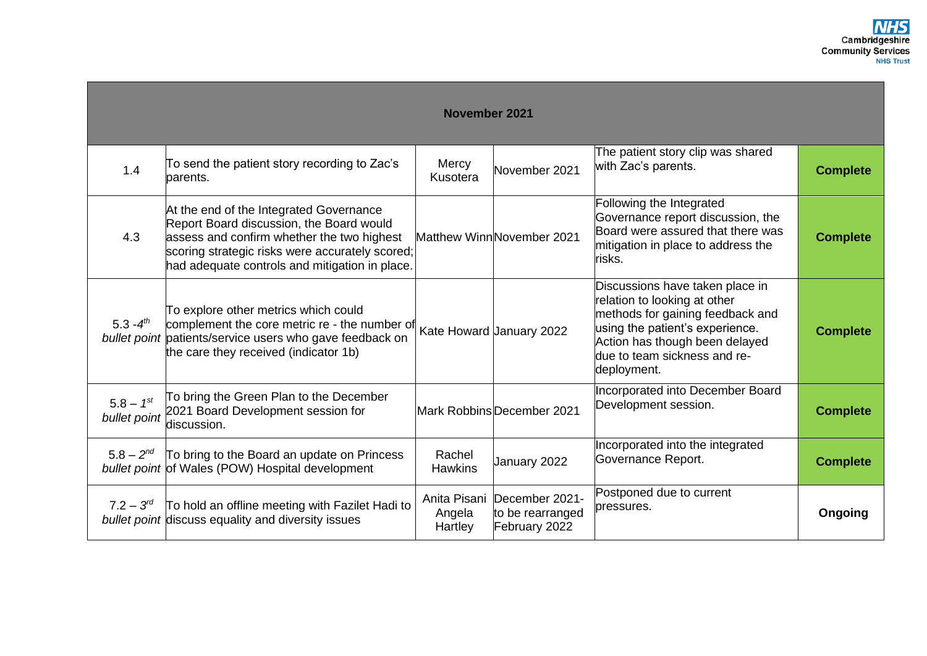| <b>November 2021</b>           |                                                                                                                                                                                                                                        |                                   |                                                     |                                                                                                                                                                                                                         |                 |  |  |  |
|--------------------------------|----------------------------------------------------------------------------------------------------------------------------------------------------------------------------------------------------------------------------------------|-----------------------------------|-----------------------------------------------------|-------------------------------------------------------------------------------------------------------------------------------------------------------------------------------------------------------------------------|-----------------|--|--|--|
| 1.4                            | To send the patient story recording to Zac's<br>parents.                                                                                                                                                                               | Mercy<br>Kusotera                 | November 2021                                       | The patient story clip was shared<br>with Zac's parents.                                                                                                                                                                | <b>Complete</b> |  |  |  |
| 4.3                            | At the end of the Integrated Governance<br>Report Board discussion, the Board would<br>assess and confirm whether the two highest<br>scoring strategic risks were accurately scored;<br>had adequate controls and mitigation in place. |                                   | Matthew WinnNovember 2021                           | Following the Integrated<br>Governance report discussion, the<br>Board were assured that there was<br>mitigation in place to address the<br>risks.                                                                      | <b>Complete</b> |  |  |  |
| 5.3 - $4^{th}$                 | To explore other metrics which could<br>complement the core metric re - the number of<br>bullet point patients/service users who gave feedback on<br>the care they received (indicator 1b)                                             |                                   | Kate Howard January 2022                            | Discussions have taken place in<br>relation to looking at other<br>methods for gaining feedback and<br>using the patient's experience.<br>Action has though been delayed<br>due to team sickness and re-<br>deployment. | <b>Complete</b> |  |  |  |
| $5.8 - 1^{st}$<br>bullet point | To bring the Green Plan to the December<br>2021 Board Development session for<br>discussion.                                                                                                                                           |                                   | Mark Robbins December 2021                          | Incorporated into December Board<br>Development session.                                                                                                                                                                | <b>Complete</b> |  |  |  |
| $5.8 - 2^{nd}$                 | To bring to the Board an update on Princess<br>bullet point of Wales (POW) Hospital development                                                                                                                                        | Rachel<br><b>Hawkins</b>          | January 2022                                        | Incorporated into the integrated<br>Governance Report.                                                                                                                                                                  | <b>Complete</b> |  |  |  |
| $7.2 - 3^{rd}$                 | To hold an offline meeting with Fazilet Hadi to<br>bullet point discuss equality and diversity issues                                                                                                                                  | Anita Pisani<br>Angela<br>Hartley | December 2021-<br>to be rearranged<br>February 2022 | Postponed due to current<br>bressures.                                                                                                                                                                                  | Ongoing         |  |  |  |